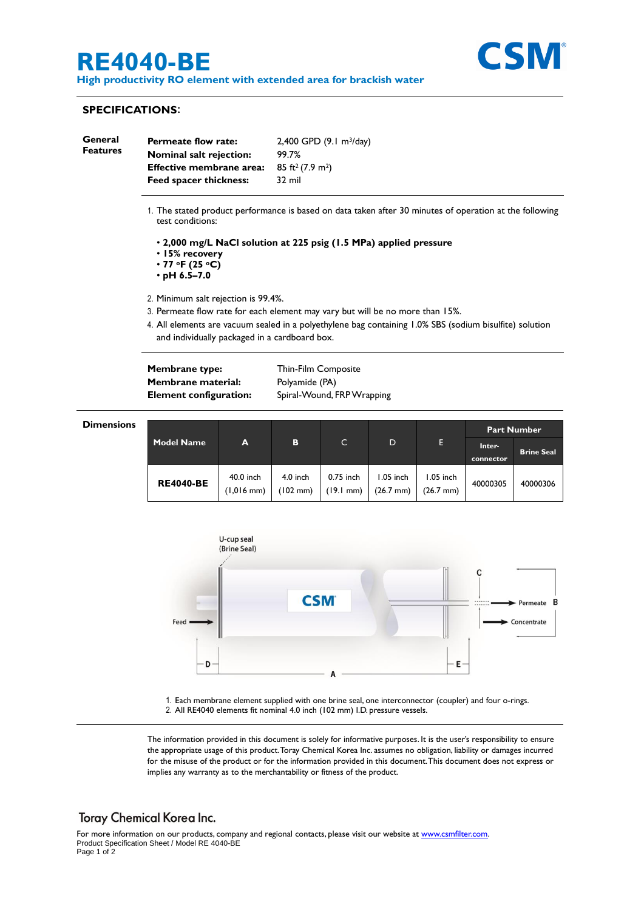# **RE4040-BE**

**High productivity RO element with extended area for brackish water**



### **SPECIFICATIONS**:

| General<br><b>Features</b> | <b>Permeate flow rate:</b>      | $2,400$ GPD $(9.1 \text{ m}^3/\text{day})$ |  |  |
|----------------------------|---------------------------------|--------------------------------------------|--|--|
|                            | <b>Nominal salt rejection:</b>  | 99.7%                                      |  |  |
|                            | <b>Effective membrane area:</b> | $85 \text{ ft}^2 (7.9 \text{ m}^2)$        |  |  |
|                            | <b>Feed spacer thickness:</b>   | 32 mil                                     |  |  |
|                            |                                 |                                            |  |  |

- 1. The stated product performance is based on data taken after 30 minutes of operation at the following test conditions:
	- **2,000 mg/L NaCl solution at 225 psig (1.5 MPa) applied pressure**
	- **15% recovery**
	- **77 oF (25 oC)**
	- **pH 6.5–7.0**
- 2. Minimum salt rejection is 99.4%.
- 3. Permeate flow rate for each element may vary but will be no more than 15%.
- 4. All elements are vacuum sealed in a polyethylene bag containing 1.0% SBS (sodium bisulfite) solution and individually packaged in a cardboard box.

**Membrane type:** Thin-Film Composite **Membrane material:** Polyamide (PA)

**Element configuration:** Spiral-Wound, FRP Wrapping

| <b>Dimensions</b> |                   |                                   |                                |                                  |                                 |                                  | <b>Part Number</b>  |                   |
|-------------------|-------------------|-----------------------------------|--------------------------------|----------------------------------|---------------------------------|----------------------------------|---------------------|-------------------|
|                   | <b>Model Name</b> | A                                 | B                              | C.                               | D                               | Е                                | Inter-<br>connector | <b>Brine Seal</b> |
|                   | <b>RE4040-BE</b>  | 40.0 inch<br>$(1,016 \text{ mm})$ | 4.0 inch<br>$(102 \text{ mm})$ | 0.75 inch<br>$(19.1 \text{ mm})$ | .05 inch<br>$(26.7 \text{ mm})$ | 1.05 inch<br>$(26.7 \text{ mm})$ | 40000305            | 40000306          |



1. Each membrane element supplied with one brine seal, one interconnector (coupler) and four o-rings. 2. All RE4040 elements fit nominal 4.0 inch (102 mm) I.D. pressure vessels.

The information provided in this document is solely for informative purposes. It is the user's responsibility to ensure the appropriate usage of this product.Toray Chemical Korea Inc. assumes no obligation, liability or damages incurred for the misuse of the product or for the information provided in this document.This document does not express or implies any warranty as to the merchantability or fitness of the product.

### **Toray Chemical Korea Inc.**

For more information on our products, company and regional contacts, please visit our website at [www.csmfilter.com.](http://www.csmfilter.com/) Product Specification Sheet / Model RE 4040-BE Page 1 of 2